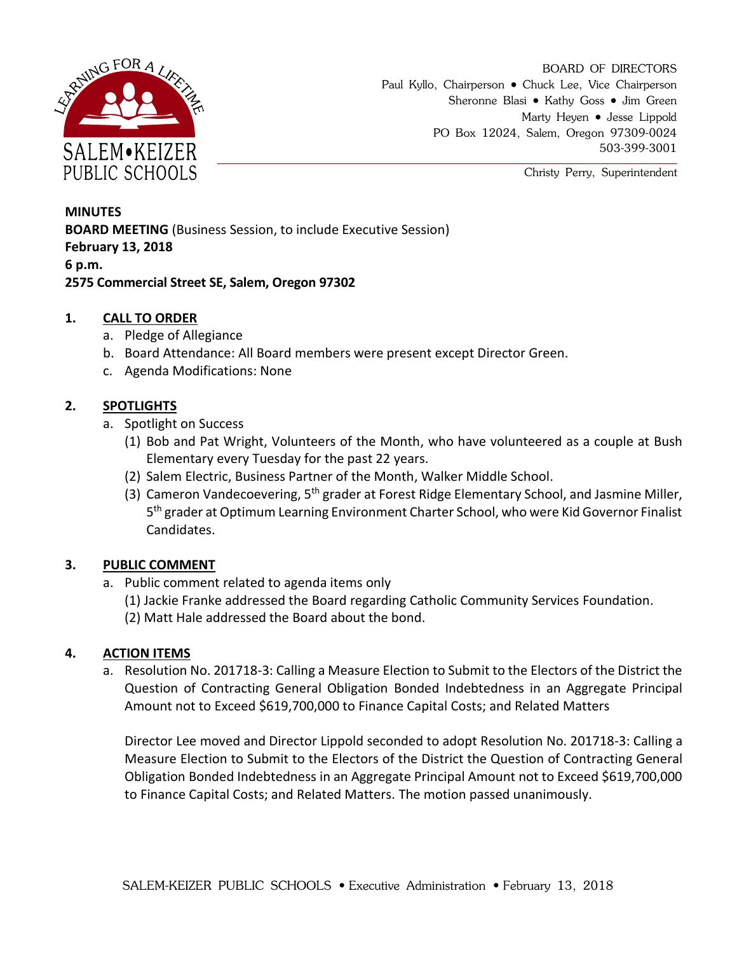

BOARD OF DIRECTORS Paul Kyllo, Chairperson • Chuck Lee, Vice Chairperson Sheronne Blasi • Kathy Goss • Jim Green Marty Heyen • Jesse Lippold PO Box 12024, Salem, Oregon 97309-0024 503-399-3001

Christy Perry, Superintendent

# **MINUTES BOARD MEETING** (Business Session, to include Executive Session) **February 13, 2018 6 p.m. 2575 Commercial Street SE, Salem, Oregon 97302**

## **1. CALL TO ORDER**

- a. Pledge of Allegiance
- b. Board Attendance: All Board members were present except Director Green.
- c. Agenda Modifications: None

## **2. SPOTLIGHTS**

- a. Spotlight on Success
	- (1) Bob and Pat Wright, Volunteers of the Month, who have volunteered as a couple at Bush Elementary every Tuesday for the past 22 years.
	- (2) Salem Electric, Business Partner of the Month, Walker Middle School.
	- (3) Cameron Vandecoevering, 5<sup>th</sup> grader at Forest Ridge Elementary School, and Jasmine Miller, 5<sup>th</sup> grader at Optimum Learning Environment Charter School, who were Kid Governor Finalist Candidates.

## **3. PUBLIC COMMENT**

- a. Public comment related to agenda items only
	- (1) Jackie Franke addressed the Board regarding Catholic Community Services Foundation.
	- (2) Matt Hale addressed the Board about the bond.

## **4. ACTION ITEMS**

a. Resolution No. 201718-3: Calling a Measure Election to Submit to the Electors of the District the Question of Contracting General Obligation Bonded Indebtedness in an Aggregate Principal Amount not to Exceed \$619,700,000 to Finance Capital Costs; and Related Matters

Director Lee moved and Director Lippold seconded to adopt Resolution No. 201718-3: Calling a Measure Election to Submit to the Electors of the District the Question of Contracting General Obligation Bonded Indebtedness in an Aggregate Principal Amount not to Exceed \$619,700,000 to Finance Capital Costs; and Related Matters. The motion passed unanimously.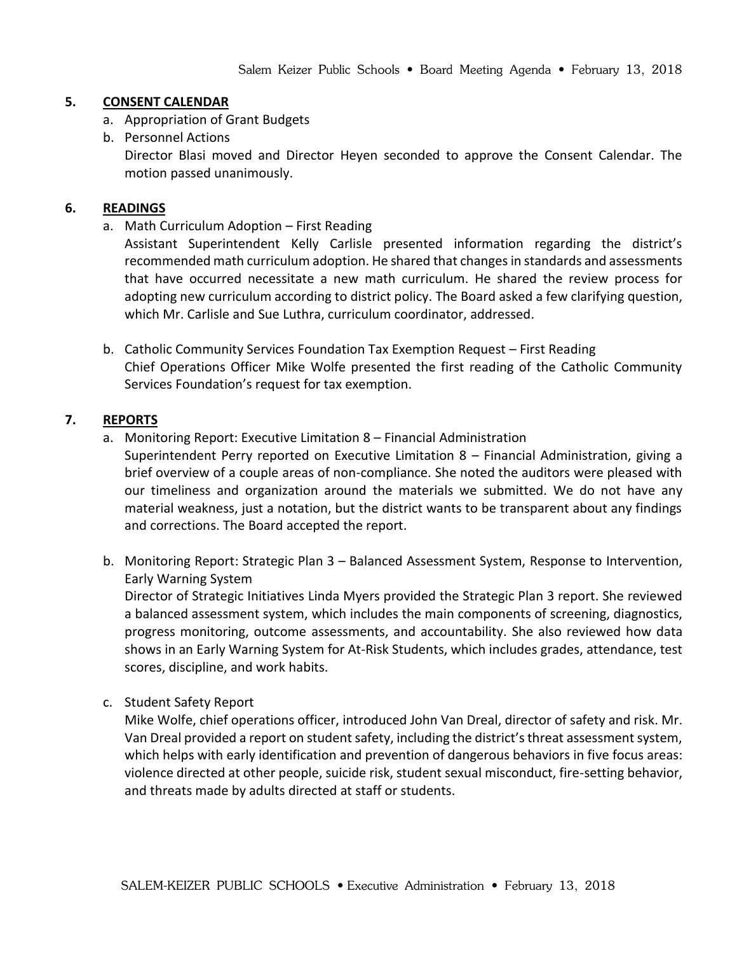#### **5. CONSENT CALENDAR**

- a. Appropriation of Grant Budgets
- b. Personnel Actions

Director Blasi moved and Director Heyen seconded to approve the Consent Calendar. The motion passed unanimously.

#### **6. READINGS**

a. Math Curriculum Adoption – First Reading

Assistant Superintendent Kelly Carlisle presented information regarding the district's recommended math curriculum adoption. He shared that changes in standards and assessments that have occurred necessitate a new math curriculum. He shared the review process for adopting new curriculum according to district policy. The Board asked a few clarifying question, which Mr. Carlisle and Sue Luthra, curriculum coordinator, addressed.

b. Catholic Community Services Foundation Tax Exemption Request – First Reading Chief Operations Officer Mike Wolfe presented the first reading of the Catholic Community Services Foundation's request for tax exemption.

#### **7. REPORTS**

- a. Monitoring Report: Executive Limitation 8 Financial Administration
	- Superintendent Perry reported on Executive Limitation 8 Financial Administration, giving a brief overview of a couple areas of non-compliance. She noted the auditors were pleased with our timeliness and organization around the materials we submitted. We do not have any material weakness, just a notation, but the district wants to be transparent about any findings and corrections. The Board accepted the report.
- b. Monitoring Report: Strategic Plan 3 Balanced Assessment System, Response to Intervention, Early Warning System

Director of Strategic Initiatives Linda Myers provided the Strategic Plan 3 report. She reviewed a balanced assessment system, which includes the main components of screening, diagnostics, progress monitoring, outcome assessments, and accountability. She also reviewed how data shows in an Early Warning System for At-Risk Students, which includes grades, attendance, test scores, discipline, and work habits.

c. Student Safety Report

Mike Wolfe, chief operations officer, introduced John Van Dreal, director of safety and risk. Mr. Van Dreal provided a report on student safety, including the district's threat assessment system, which helps with early identification and prevention of dangerous behaviors in five focus areas: violence directed at other people, suicide risk, student sexual misconduct, fire-setting behavior, and threats made by adults directed at staff or students.